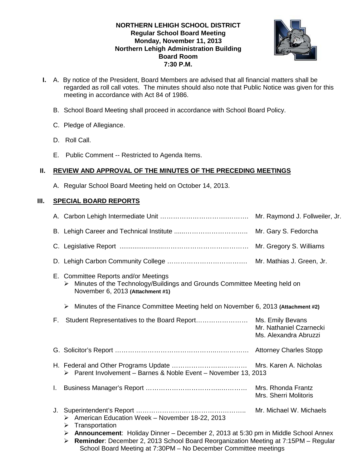## **NORTHERN LEHIGH SCHOOL DISTRICT Regular School Board Meeting Monday, November 11, 2013 Northern Lehigh Administration Building Board Room 7:30 P.M.**



- **I.** A. By notice of the President, Board Members are advised that all financial matters shall be regarded as roll call votes. The minutes should also note that Public Notice was given for this meeting in accordance with Act 84 of 1986.
	- B. School Board Meeting shall proceed in accordance with School Board Policy.
	- C. Pledge of Allegiance.
	- D. Roll Call.
	- E. Public Comment -- Restricted to Agenda Items.

# **II. REVIEW AND APPROVAL OF THE MINUTES OF THE PRECEDING MEETINGS**

A. Regular School Board Meeting held on October 14, 2013.

# **III. SPECIAL BOARD REPORTS**

|                                                                                         |                                                                                                                                                                   | Mr. Mathias J. Green, Jr.                        |
|-----------------------------------------------------------------------------------------|-------------------------------------------------------------------------------------------------------------------------------------------------------------------|--------------------------------------------------|
|                                                                                         | E. Committee Reports and/or Meetings<br>Minutes of the Technology/Buildings and Grounds Committee Meeting held on<br>➤<br>November 6, 2013 (Attachment #1)        |                                                  |
|                                                                                         | Minutes of the Finance Committee Meeting held on November 6, 2013 (Attachment #2)<br>$\blacktriangleright$                                                        |                                                  |
|                                                                                         |                                                                                                                                                                   | Mr. Nathaniel Czarnecki<br>Ms. Alexandra Abruzzi |
|                                                                                         |                                                                                                                                                                   |                                                  |
|                                                                                         | > Parent Involvement - Barnes & Noble Event - November 13, 2013                                                                                                   |                                                  |
|                                                                                         |                                                                                                                                                                   | Mrs. Rhonda Frantz<br>Mrs. Sherri Molitoris      |
| J.                                                                                      | > American Education Week - November 18-22, 2013<br>Transportation<br>➤<br>Announcement: Holiday Dinner - December 2, 2013 at 5:30 pm in Middle School Annex<br>≻ |                                                  |
| Reminder: December 2, 2013 School Board Reorganization Meeting at 7:15PM - Regular<br>➤ |                                                                                                                                                                   |                                                  |

School Board Meeting at 7:30PM – No December Committee meetings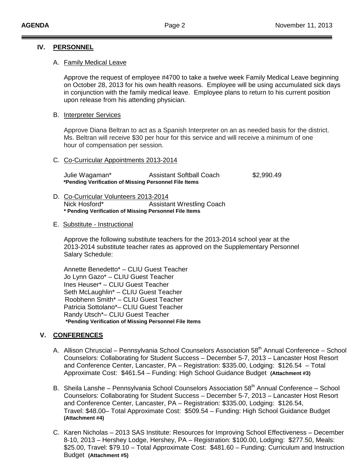### **IV. PERSONNEL**

#### A. Family Medical Leave

Approve the request of employee #4700 to take a twelve week Family Medical Leave beginning on October 28, 2013 for his own health reasons. Employee will be using accumulated sick days in conjunction with the family medical leave. Employee plans to return to his current position upon release from his attending physician.

### B. Interpreter Services

Approve Diana Beltran to act as a Spanish Interpreter on an as needed basis for the district. Ms. Beltran will receive \$30 per hour for this service and will receive a minimum of one hour of compensation per session.

#### C. Co-Curricular Appointments 2013-2014

| Julie Wagaman*                                        | <b>Assistant Softball Coach</b> | \$2,990.49 |
|-------------------------------------------------------|---------------------------------|------------|
| *Pending Verification of Missing Personnel File Items |                                 |            |

D. Co-Curricular Volunteers 2013-2014 Nick Hosford\* Assistant Wrestling Coach **\* Pending Verification of Missing Personnel File Items**

#### E. Substitute - Instructional

Approve the following substitute teachers for the 2013-2014 school year at the 2013-2014 substitute teacher rates as approved on the Supplementary Personnel Salary Schedule:

Annette Benedetto\* – CLIU Guest Teacher Jo Lynn Gazo\* – CLIU Guest Teacher Ines Heuser\* – CLIU Guest Teacher Seth McLaughlin\* – CLIU Guest Teacher Roobhenn Smith\* – CLIU Guest Teacher Patricia Sottolano\*– CLIU Guest Teacher Randy Utsch\*– CLIU Guest Teacher **\*Pending Verification of Missing Personnel File Items**

# **V. CONFERENCES**

- A. Allison Chruscial Pennsylvania School Counselors Association 58<sup>th</sup> Annual Conference School Counselors: Collaborating for Student Success – December 5-7, 2013 – Lancaster Host Resort and Conference Center, Lancaster, PA – Registration: \$335.00, Lodging: \$126.54 – Total Approximate Cost: \$461.54 – Funding: High School Guidance Budget **(Attachment #3)**
- B. Sheila Lanshe Pennsylvania School Counselors Association 58<sup>th</sup> Annual Conference School Counselors: Collaborating for Student Success – December 5-7, 2013 – Lancaster Host Resort and Conference Center, Lancaster, PA – Registration: \$335.00, Lodging: \$126.54, Travel: \$48.00– Total Approximate Cost: \$509.54 – Funding: High School Guidance Budget **(Attachment #4)**
- C. Karen Nicholas 2013 SAS Institute: Resources for Improving School Effectiveness December 8-10, 2013 – Hershey Lodge, Hershey, PA – Registration: \$100.00, Lodging: \$277.50, Meals: \$25.00, Travel: \$79.10 – Total Approximate Cost: \$481.60 – Funding: Curriculum and Instruction Budget **(Attachment #5)**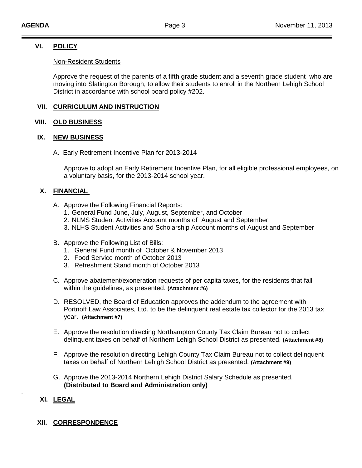# **VI. POLICY**

### Non-Resident Students

Approve the request of the parents of a fifth grade student and a seventh grade student who are moving into Slatington Borough, to allow their students to enroll in the Northern Lehigh School District in accordance with school board policy #202.

# **VII. CURRICULUM AND INSTRUCTION**

### **VIII. OLD BUSINESS**

### **IX. NEW BUSINESS**

#### A. Early Retirement Incentive Plan for 2013-2014

Approve to adopt an Early Retirement Incentive Plan, for all eligible professional employees, on a voluntary basis, for the 2013-2014 school year.

## **X. FINANCIAL**

- A. Approve the Following Financial Reports:
	- 1. General Fund June, July, August, September, and October
	- 2. NLMS Student Activities Account months of August and September
	- 3. NLHS Student Activities and Scholarship Account months of August and September
- B. Approve the Following List of Bills:
	- 1. General Fund month of October & November 2013
	- 2. Food Service month of October 2013
	- 3. Refreshment Stand month of October 2013
- C. Approve abatement/exoneration requests of per capita taxes, for the residents that fall within the guidelines, as presented. **(Attachment #6)**
- D. RESOLVED, the Board of Education approves the addendum to the agreement with Portnoff Law Associates, Ltd. to be the delinquent real estate tax collector for the 2013 tax year. **(Attachment #7)**
- E. Approve the resolution directing Northampton County Tax Claim Bureau not to collect delinquent taxes on behalf of Northern Lehigh School District as presented. **(Attachment #8)**
- F. Approve the resolution directing Lehigh County Tax Claim Bureau not to collect delinquent taxes on behalf of Northern Lehigh School District as presented. **(Attachment #9)**
- G. Approve the 2013-2014 Northern Lehigh District Salary Schedule as presented. **(Distributed to Board and Administration only)**

## **XI. LEGAL**

.

## **XII. CORRESPONDENCE**